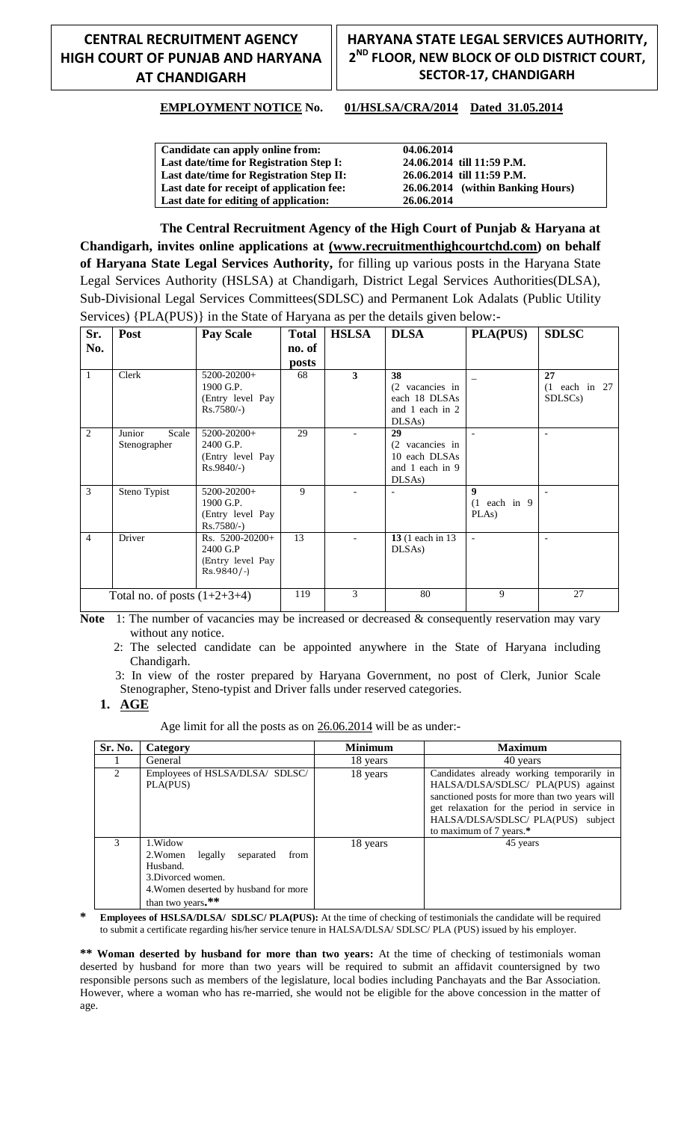## **CENTRAL RECRUITMENT AGENCY HIGH COURT OF PUNJAB AND HARYANA AT CHANDIGARH**

## **HARYANA STATE LEGAL SERVICES AUTHORITY, 2 ND FLOOR, NEW BLOCK OF OLD DISTRICT COURT, SECTOR-17, CHANDIGARH**

#### **EMPLOYMENT NOTICE No. 01/HSLSA/CRA/2014 Dated 31.05.2014**

**Candidate can apply online from: Last date/time for Registration Step I: Last date/time for Registration Step II: Last date for receipt of application fee: Last date for editing of application:** 

**04.06.2014 24.06.2014 till 11:59 P.M. 26.06.2014 till 11:59 P.M. 26.06.2014 (within Banking Hours) 26.06.2014** 

**The Central Recruitment Agency of the High Court of Punjab & Haryana at Chandigarh, invites online applications at (www.recruitmenthighcourtchd.com) on behalf of Haryana State Legal Services Authority,** for filling up various posts in the Haryana State Legal Services Authority (HSLSA) at Chandigarh, District Legal Services Authorities(DLSA), Sub-Divisional Legal Services Committees(SDLSC) and Permanent Lok Adalats (Public Utility Services) {PLA(PUS)} in the State of Haryana as per the details given below:-

| Sr.                            | Post                            | <b>Pay Scale</b>                                               | <b>Total</b> | <b>HSLSA</b> | <b>DLSA</b>                                                        | PLA(PUS)                                | <b>SDLSC</b>                                  |
|--------------------------------|---------------------------------|----------------------------------------------------------------|--------------|--------------|--------------------------------------------------------------------|-----------------------------------------|-----------------------------------------------|
| No.                            |                                 |                                                                | no. of       |              |                                                                    |                                         |                                               |
|                                |                                 |                                                                | posts        |              |                                                                    |                                         |                                               |
| $\mathbf{1}$                   | Clerk                           | 5200-20200+<br>1900 G.P.<br>(Entry level Pay<br>$Rs.7580/-$    | 68           | 3            | 38<br>(2 vacancies in<br>each 18 DLSAs<br>and 1 each in 2<br>DLSAs |                                         | 27<br>$(1$ each in 27<br>SDLSC <sub>s</sub> ) |
| 2                              | Junior<br>Scale<br>Stenographer | 5200-20200+<br>2400 G.P.<br>(Entry level Pay<br>$Rs.9840/-$ )  | 29           |              | 29<br>(2 vacancies in<br>10 each DLSAs<br>and 1 each in 9<br>DLSAs |                                         |                                               |
| 3                              | Steno Typist                    | 5200-20200+<br>1900 G.P.<br>(Entry level Pay<br>$Rs.7580/-$    | 9            |              | $\overline{\phantom{a}}$                                           | $\mathbf{Q}$<br>$(1$ each in 9<br>PLAs) |                                               |
| $\overline{4}$                 | Driver                          | Rs. 5200-20200+<br>2400 G.P<br>(Entry level Pay<br>$Rs.9840/-$ | 13           |              | 13 (1 each in 13)<br>DLSAs                                         | $\blacksquare$                          | $\overline{\phantom{a}}$                      |
| Total no. of posts $(1+2+3+4)$ |                                 | 119                                                            | 3            | 80           | 9                                                                  | 27                                      |                                               |

Note 1: The number of vacancies may be increased or decreased & consequently reservation may vary without any notice.

 2: The selected candidate can be appointed anywhere in the State of Haryana including Chandigarh.

 3: In view of the roster prepared by Haryana Government, no post of Clerk, Junior Scale Stenographer, Steno-typist and Driver falls under reserved categories.

#### **1. AGE**

Age limit for all the posts as on 26.06.2014 will be as under:-

| Sr. No.        | Category                                                                                                                                             | <b>Minimum</b> | <b>Maximum</b>                                                                                                                                                                                                                                   |
|----------------|------------------------------------------------------------------------------------------------------------------------------------------------------|----------------|--------------------------------------------------------------------------------------------------------------------------------------------------------------------------------------------------------------------------------------------------|
|                | General                                                                                                                                              | 18 years       | 40 years                                                                                                                                                                                                                                         |
| $\mathfrak{D}$ | Employees of HSLSA/DLSA/ SDLSC/<br>PLA(PUS)                                                                                                          | 18 years       | Candidates already working temporarily in<br>HALSA/DLSA/SDLSC/ PLA(PUS) against<br>sanctioned posts for more than two years will<br>get relaxation for the period in service in<br>HALSA/DLSA/SDLSC/ PLA(PUS) subject<br>to maximum of 7 years.* |
| 3              | 1. Widow<br>legally<br>2. Women<br>from<br>separated<br>Husband.<br>3. Divorced women.<br>4. Women deserted by husband for more<br>than two years.** | 18 years       | 45 years                                                                                                                                                                                                                                         |

**\* Employees of HSLSA/DLSA/ SDLSC/ PLA(PUS):** At the time of checking of testimonials the candidate will be required to submit a certificate regarding his/her service tenure in HALSA/DLSA/ SDLSC/ PLA (PUS) issued by his employer.

**\*\* Woman deserted by husband for more than two years:** At the time of checking of testimonials woman deserted by husband for more than two years will be required to submit an affidavit countersigned by two responsible persons such as members of the legislature, local bodies including Panchayats and the Bar Association. However, where a woman who has re-married, she would not be eligible for the above concession in the matter of age.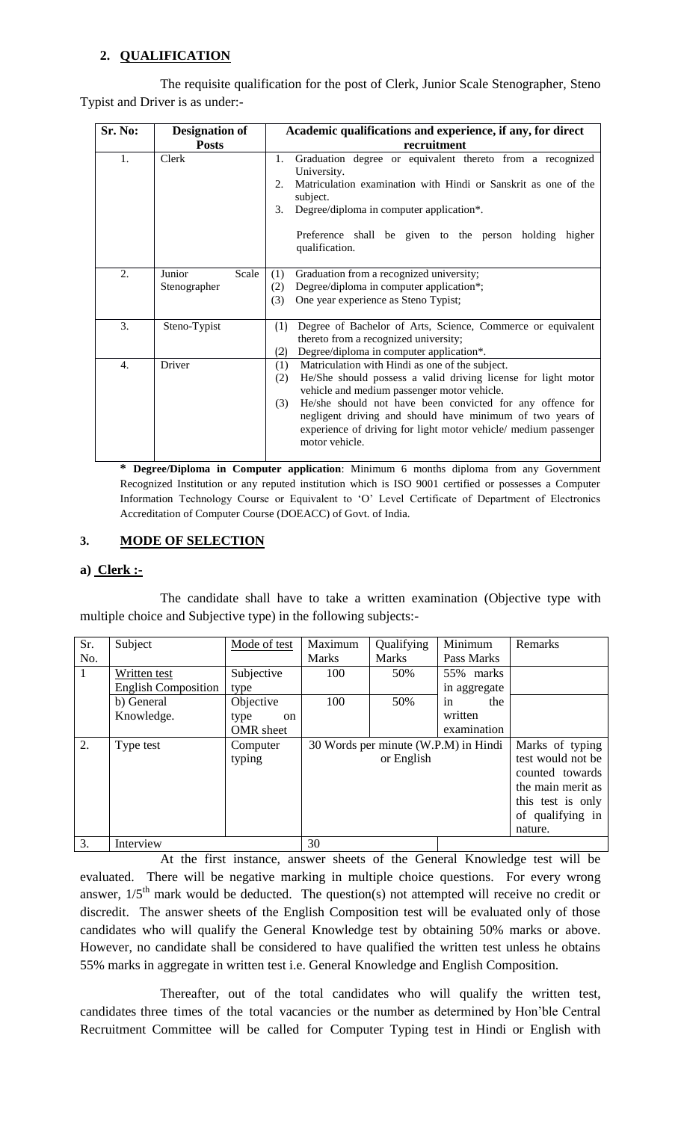## **2. QUALIFICATION**

The requisite qualification for the post of Clerk, Junior Scale Stenographer, Steno Typist and Driver is as under:-

| Sr. No:<br><b>Designation of</b> |                                 | Academic qualifications and experience, if any, for direct                                                                                                                                                                                                                                                                                                                                          |  |  |  |
|----------------------------------|---------------------------------|-----------------------------------------------------------------------------------------------------------------------------------------------------------------------------------------------------------------------------------------------------------------------------------------------------------------------------------------------------------------------------------------------------|--|--|--|
|                                  | <b>Posts</b>                    | recruitment                                                                                                                                                                                                                                                                                                                                                                                         |  |  |  |
| 1.                               | Clerk                           | Graduation degree or equivalent thereto from a recognized<br>$1_{\cdot}$<br>University.<br>Matriculation examination with Hindi or Sanskrit as one of the<br>2.<br>subject.<br>Degree/diploma in computer application*.<br>3.<br>Preference shall be given to the person holding<br>higher<br>qualification.                                                                                        |  |  |  |
| 2.                               | Junior<br>Scale<br>Stenographer | Graduation from a recognized university;<br>(1)<br>Degree/diploma in computer application*;<br>(2)<br>One year experience as Steno Typist;<br>(3)                                                                                                                                                                                                                                                   |  |  |  |
| 3.                               | Steno-Typist                    | Degree of Bachelor of Arts, Science, Commerce or equivalent<br>(1)<br>thereto from a recognized university;<br>Degree/diploma in computer application*.<br>(2)                                                                                                                                                                                                                                      |  |  |  |
| $\overline{4}$ .                 | Driver                          | Matriculation with Hindi as one of the subject.<br>(1)<br>He/She should possess a valid driving license for light motor<br>(2)<br>vehicle and medium passenger motor vehicle.<br>He/she should not have been convicted for any offence for<br>(3)<br>negligent driving and should have minimum of two years of<br>experience of driving for light motor vehicle/ medium passenger<br>motor vehicle. |  |  |  |

**\* Degree/Diploma in Computer application**: Minimum 6 months diploma from any Government Recognized Institution or any reputed institution which is ISO 9001 certified or possesses a Computer Information Technology Course or Equivalent to "O" Level Certificate of Department of Electronics Accreditation of Computer Course (DOEACC) of Govt. of India.

#### **3. MODE OF SELECTION**

#### **a) Clerk :-**

The candidate shall have to take a written examination (Objective type with multiple choice and Subjective type) in the following subjects:-

| Sr. | Subject                    | Mode of test          | Maximum      | Qualifying                           | Minimum      | Remarks           |
|-----|----------------------------|-----------------------|--------------|--------------------------------------|--------------|-------------------|
| No. |                            |                       | <b>Marks</b> | <b>Marks</b>                         | Pass Marks   |                   |
| 1   | Written test               | Subjective            | 100          | 50%                                  | 55% marks    |                   |
|     | <b>English Composition</b> | type                  |              |                                      | in aggregate |                   |
|     | b) General                 | Objective             | 100          | 50%                                  | the<br>in    |                   |
|     | Knowledge.                 | type<br><sub>on</sub> |              |                                      | written      |                   |
|     |                            | OMR sheet             |              |                                      | examination  |                   |
| 2.  | Type test                  | Computer              |              | 30 Words per minute (W.P.M) in Hindi |              | Marks of typing   |
|     |                            | typing                |              | or English                           |              | test would not be |
|     |                            |                       |              |                                      |              | counted towards   |
|     |                            |                       |              |                                      |              | the main merit as |
|     |                            |                       |              |                                      |              | this test is only |
|     |                            |                       |              |                                      |              | of qualifying in  |
|     |                            |                       |              |                                      |              | nature.           |
| 3.  | Interview                  |                       | 30           |                                      |              |                   |

At the first instance, answer sheets of the General Knowledge test will be evaluated. There will be negative marking in multiple choice questions. For every wrong answer,  $1/5<sup>th</sup>$  mark would be deducted. The question(s) not attempted will receive no credit or discredit. The answer sheets of the English Composition test will be evaluated only of those candidates who will qualify the General Knowledge test by obtaining 50% marks or above. However, no candidate shall be considered to have qualified the written test unless he obtains 55% marks in aggregate in written test i.e. General Knowledge and English Composition.

Thereafter, out of the total candidates who will qualify the written test, candidates three times of the total vacancies or the number as determined by Hon"ble Central Recruitment Committee will be called for Computer Typing test in Hindi or English with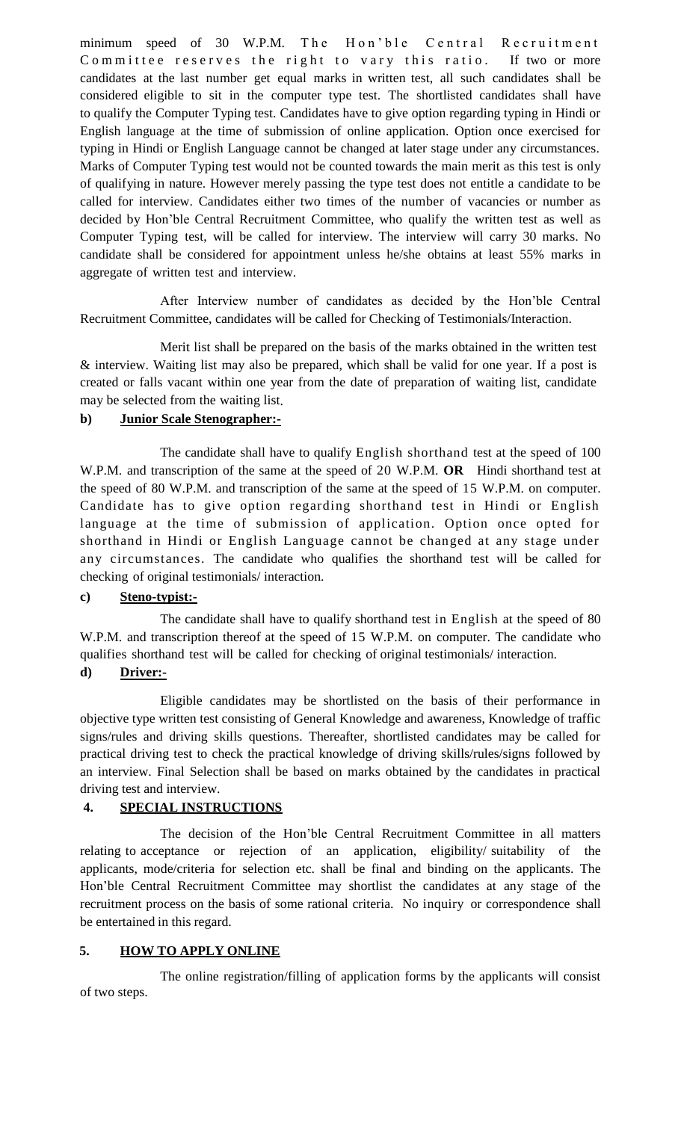minimum speed of 30 W.P.M. The Hon'ble Central Recruitment Committee reserves the right to vary this ratio. If two or more candidates at the last number get equal marks in written test, all such candidates shall be considered eligible to sit in the computer type test. The shortlisted candidates shall have to qualify the Computer Typing test. Candidates have to give option regarding typing in Hindi or English language at the time of submission of online application. Option once exercised for typing in Hindi or English Language cannot be changed at later stage under any circumstances. Marks of Computer Typing test would not be counted towards the main merit as this test is only of qualifying in nature. However merely passing the type test does not entitle a candidate to be called for interview. Candidates either two times of the number of vacancies or number as decided by Hon"ble Central Recruitment Committee, who qualify the written test as well as Computer Typing test, will be called for interview. The interview will carry 30 marks. No candidate shall be considered for appointment unless he/she obtains at least 55% marks in aggregate of written test and interview.

After Interview number of candidates as decided by the Hon"ble Central Recruitment Committee, candidates will be called for Checking of Testimonials/Interaction.

Merit list shall be prepared on the basis of the marks obtained in the written test & interview. Waiting list may also be prepared, which shall be valid for one year. If a post is created or falls vacant within one year from the date of preparation of waiting list, candidate may be selected from the waiting list.

#### **b) Junior Scale Stenographer:-**

The candidate shall have to qualify English shorthand test at the speed of 100 W.P.M. and transcription of the same at the speed of 20 W.P.M. **OR** Hindi shorthand test at the speed of 80 W.P.M. and transcription of the same at the speed of 15 W.P.M. on computer. Candidate has to give option regarding shorthand test in Hindi or English language at the time of submission of application. Option once opted for shorthand in Hindi or English Language cannot be changed at any stage under any circumstances. The candidate who qualifies the shorthand test will be called for checking of original testimonials/ interaction.

#### **c) Steno-typist:-**

The candidate shall have to qualify shorthand test in English at the speed of 80 W.P.M. and transcription thereof at the speed of 15 W.P.M. on computer. The candidate who qualifies shorthand test will be called for checking of original testimonials/ interaction.

#### **d) Driver:-**

Eligible candidates may be shortlisted on the basis of their performance in objective type written test consisting of General Knowledge and awareness, Knowledge of traffic signs/rules and driving skills questions. Thereafter, shortlisted candidates may be called for practical driving test to check the practical knowledge of driving skills/rules/signs followed by an interview. Final Selection shall be based on marks obtained by the candidates in practical driving test and interview.

### **4. SPECIAL INSTRUCTIONS**

The decision of the Hon"ble Central Recruitment Committee in all matters relating to acceptance or rejection of an application, eligibility/ suitability of the applicants, mode/criteria for selection etc. shall be final and binding on the applicants. The Hon"ble Central Recruitment Committee may shortlist the candidates at any stage of the recruitment process on the basis of some rational criteria. No inquiry or correspondence shall be entertained in this regard.

#### **5. HOW TO APPLY ONLINE**

The online registration/filling of application forms by the applicants will consist of two steps.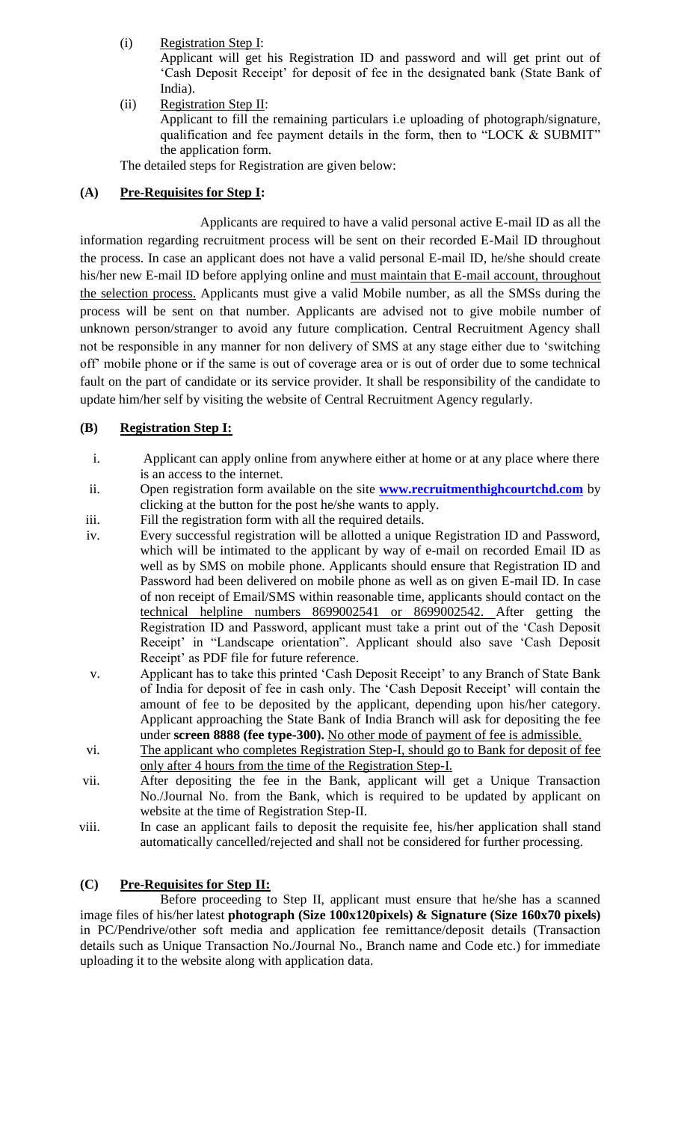(i) Registration Step I:

Applicant will get his Registration ID and password and will get print out of 'Cash Deposit Receipt' for deposit of fee in the designated bank (State Bank of India).

(ii) Registration Step II: Applicant to fill the remaining particulars i.e uploading of photograph/signature, qualification and fee payment details in the form, then to "LOCK & SUBMIT" the application form.

The detailed steps for Registration are given below:

## **(A) Pre-Requisites for Step I:**

Applicants are required to have a valid personal active E-mail ID as all the information regarding recruitment process will be sent on their recorded E-Mail ID throughout the process. In case an applicant does not have a valid personal E-mail ID, he/she should create his/her new E-mail ID before applying online and must maintain that E-mail account, throughout the selection process. Applicants must give a valid Mobile number, as all the SMSs during the process will be sent on that number. Applicants are advised not to give mobile number of unknown person/stranger to avoid any future complication. Central Recruitment Agency shall not be responsible in any manner for non delivery of SMS at any stage either due to "switching off" mobile phone or if the same is out of coverage area or is out of order due to some technical fault on the part of candidate or its service provider. It shall be responsibility of the candidate to update him/her self by visiting the website of Central Recruitment Agency regularly.

## **(B) Registration Step I:**

- i. Applicant can apply online from anywhere either at home or at any place where there is an access to the internet.
- ii. Open registration form available on the site **[www.recruitmenthighcourtchd.com](http://www.recruitmenthighcourtchd.com/)** by clicking at the button for the post he/she wants to apply.
- iii. Fill the registration form with all the required details.
- iv. Every successful registration will be allotted a unique Registration ID and Password, which will be intimated to the applicant by way of e-mail on recorded Email ID as well as by SMS on mobile phone. Applicants should ensure that Registration ID and Password had been delivered on mobile phone as well as on given E-mail ID. In case of non receipt of Email/SMS within reasonable time, applicants should contact on the technical helpline numbers 8699002541 or 8699002542. After getting the Registration ID and Password, applicant must take a print out of the "Cash Deposit Receipt' in "Landscape orientation". Applicant should also save 'Cash Deposit Receipt' as PDF file for future reference.
- v. Applicant has to take this printed "Cash Deposit Receipt" to any Branch of State Bank of India for deposit of fee in cash only. The "Cash Deposit Receipt" will contain the amount of fee to be deposited by the applicant, depending upon his/her category. Applicant approaching the State Bank of India Branch will ask for depositing the fee under **screen 8888 (fee type-300).** No other mode of payment of fee is admissible.
- vi. The applicant who completes Registration Step-I, should go to Bank for deposit of fee only after 4 hours from the time of the Registration Step-I.
- vii. After depositing the fee in the Bank, applicant will get a Unique Transaction No./Journal No. from the Bank, which is required to be updated by applicant on website at the time of Registration Step-II.
- viii. In case an applicant fails to deposit the requisite fee, his/her application shall stand automatically cancelled/rejected and shall not be considered for further processing.

#### **(C) Pre-Requisites for Step II:**

Before proceeding to Step II, applicant must ensure that he/she has a scanned image files of his/her latest **photograph (Size 100x120pixels) & Signature (Size 160x70 pixels)** in PC/Pendrive/other soft media and application fee remittance/deposit details (Transaction details such as Unique Transaction No./Journal No., Branch name and Code etc.) for immediate uploading it to the website along with application data.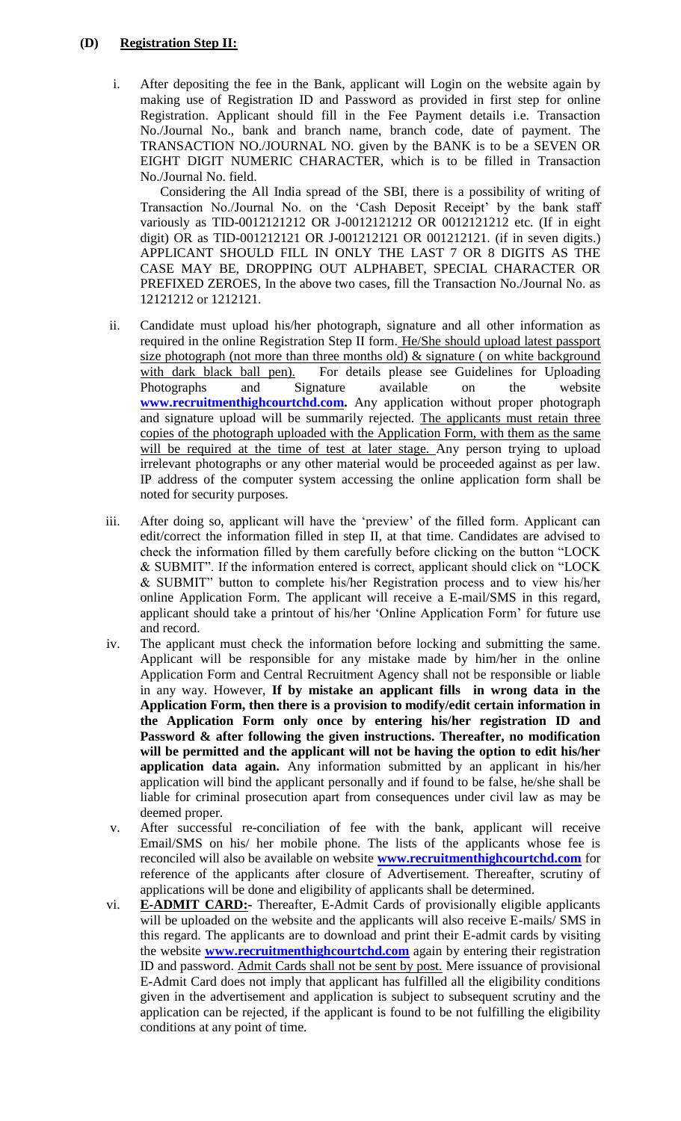#### **(D) Registration Step II:**

i. After depositing the fee in the Bank, applicant will Login on the website again by making use of Registration ID and Password as provided in first step for online Registration. Applicant should fill in the Fee Payment details i.e. Transaction No./Journal No., bank and branch name, branch code, date of payment. The TRANSACTION NO./JOURNAL NO. given by the BANK is to be a SEVEN OR EIGHT DIGIT NUMERIC CHARACTER, which is to be filled in Transaction No./Journal No. field.

Considering the All India spread of the SBI, there is a possibility of writing of Transaction No./Journal No. on the "Cash Deposit Receipt" by the bank staff variously as TID-0012121212 OR J-0012121212 OR 0012121212 etc. (If in eight digit) OR as TID-001212121 OR J-001212121 OR 001212121. (if in seven digits.) APPLICANT SHOULD FILL IN ONLY THE LAST 7 OR 8 DIGITS AS THE CASE MAY BE, DROPPING OUT ALPHABET, SPECIAL CHARACTER OR PREFIXED ZEROES, In the above two cases, fill the Transaction No./Journal No. as 12121212 or 1212121.

- ii. Candidate must upload his/her photograph, signature and all other information as required in the online Registration Step II form. He/She should upload latest passport size photograph (not more than three months old)  $\&$  signature (on white background with dark black ball pen). For details please see Guidelines for Uploading Photographs and Signature available on the website **[www.recruitmenthighcourtchd.com.](http://www.recruitmenthighcourtchd.com/)** Any application without proper photograph and signature upload will be summarily rejected. The applicants must retain three copies of the photograph uploaded with the Application Form, with them as the same will be required at the time of test at later stage. Any person trying to upload irrelevant photographs or any other material would be proceeded against as per law. IP address of the computer system accessing the online application form shall be noted for security purposes.
- iii. After doing so, applicant will have the 'preview' of the filled form. Applicant can edit/correct the information filled in step II, at that time. Candidates are advised to check the information filled by them carefully before clicking on the button "LOCK & SUBMIT". If the information entered is correct, applicant should click on "LOCK & SUBMIT" button to complete his/her Registration process and to view his/her online Application Form. The applicant will receive a E-mail/SMS in this regard, applicant should take a printout of his/her "Online Application Form" for future use and record.
- iv. The applicant must check the information before locking and submitting the same. Applicant will be responsible for any mistake made by him/her in the online Application Form and Central Recruitment Agency shall not be responsible or liable in any way. However, **If by mistake an applicant fills in wrong data in the Application Form, then there is a provision to modify/edit certain information in the Application Form only once by entering his/her registration ID and Password & after following the given instructions. Thereafter, no modification will be permitted and the applicant will not be having the option to edit his/her application data again.** Any information submitted by an applicant in his/her application will bind the applicant personally and if found to be false, he/she shall be liable for criminal prosecution apart from consequences under civil law as may be deemed proper.
- v. After successful re-conciliation of fee with the bank, applicant will receive Email/SMS on his/ her mobile phone. The lists of the applicants whose fee is reconciled will also be available on website **[www.recruitmenthighcourtchd.com](http://www.recruitmenthighcourtchd.com/)** for reference of the applicants after closure of Advertisement. Thereafter, scrutiny of applications will be done and eligibility of applicants shall be determined.
- vi. **E-ADMIT CARD:-** Thereafter, E-Admit Cards of provisionally eligible applicants will be uploaded on the website and the applicants will also receive E-mails/ SMS in this regard. The applicants are to download and print their E-admit cards by visiting the website **[www.recruitmenthighcourtchd.com](http://www.recruitmenthighcourtchd.com/)** again by entering their registration ID and password. Admit Cards shall not be sent by post. Mere issuance of provisional E-Admit Card does not imply that applicant has fulfilled all the eligibility conditions given in the advertisement and application is subject to subsequent scrutiny and the application can be rejected, if the applicant is found to be not fulfilling the eligibility conditions at any point of time.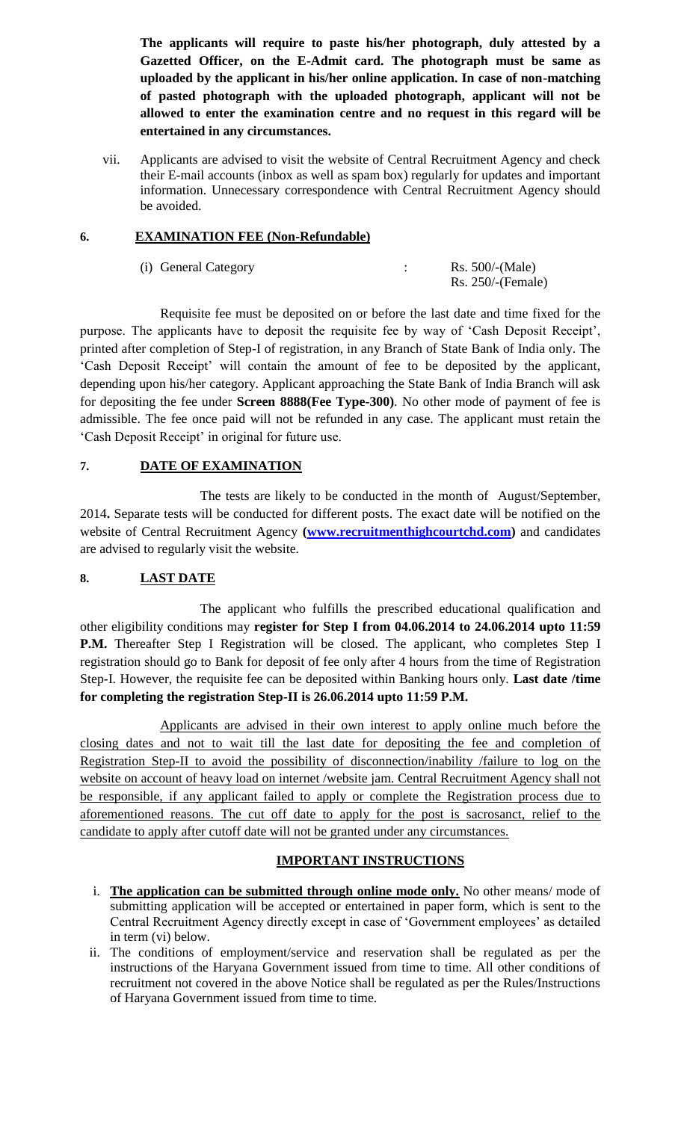**The applicants will require to paste his/her photograph, duly attested by a Gazetted Officer, on the E-Admit card. The photograph must be same as uploaded by the applicant in his/her online application. In case of non-matching of pasted photograph with the uploaded photograph, applicant will not be allowed to enter the examination centre and no request in this regard will be entertained in any circumstances.**

vii. Applicants are advised to visit the website of Central Recruitment Agency and check their E-mail accounts (inbox as well as spam box) regularly for updates and important information. Unnecessary correspondence with Central Recruitment Agency should be avoided.

#### **6. EXAMINATION FEE (Non-Refundable)**

| (i) General Category | Rs. 500/(Male)       |
|----------------------|----------------------|
|                      | $Rs. 250$ /-(Female) |

Requisite fee must be deposited on or before the last date and time fixed for the purpose. The applicants have to deposit the requisite fee by way of 'Cash Deposit Receipt', printed after completion of Step-I of registration, in any Branch of State Bank of India only. The 'Cash Deposit Receipt' will contain the amount of fee to be deposited by the applicant, depending upon his/her category. Applicant approaching the State Bank of India Branch will ask for depositing the fee under **Screen 8888(Fee Type-300)**. No other mode of payment of fee is admissible. The fee once paid will not be refunded in any case. The applicant must retain the 'Cash Deposit Receipt' in original for future use.

## **7. DATE OF EXAMINATION**

The tests are likely to be conducted in the month of August/September, 2014**.** Separate tests will be conducted for different posts. The exact date will be notified on the website of Central Recruitment Agency **[\(www.recruitmenthighcourtchd.com\)](http://www.recruitmenthighcourtchd.com/)** and candidates are advised to regularly visit the website.

#### **8. LAST DATE**

The applicant who fulfills the prescribed educational qualification and other eligibility conditions may **register for Step I from 04.06.2014 to 24.06.2014 upto 11:59**  P.M. Thereafter Step I Registration will be closed. The applicant, who completes Step I registration should go to Bank for deposit of fee only after 4 hours from the time of Registration Step-I. However, the requisite fee can be deposited within Banking hours only. **Last date /time for completing the registration Step-II is 26.06.2014 upto 11:59 P.M.**

Applicants are advised in their own interest to apply online much before the closing dates and not to wait till the last date for depositing the fee and completion of Registration Step-II to avoid the possibility of disconnection/inability /failure to log on the website on account of heavy load on internet /website jam. Central Recruitment Agency shall not be responsible, if any applicant failed to apply or complete the Registration process due to aforementioned reasons. The cut off date to apply for the post is sacrosanct, relief to the candidate to apply after cutoff date will not be granted under any circumstances.

# **IMPORTANT INSTRUCTIONS**

- i. **The application can be submitted through online mode only.** No other means/ mode of submitting application will be accepted or entertained in paper form, which is sent to the Central Recruitment Agency directly except in case of 'Government employees' as detailed in term (vi) below.
- ii. The conditions of employment/service and reservation shall be regulated as per the instructions of the Haryana Government issued from time to time. All other conditions of recruitment not covered in the above Notice shall be regulated as per the Rules/Instructions of Haryana Government issued from time to time.